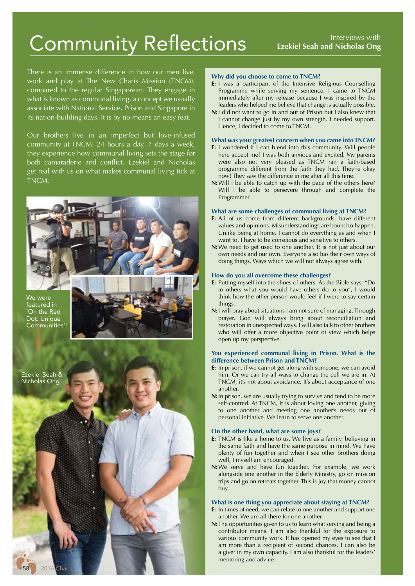# Interviews with Community Reflections **Ezekiel Seah and Nicholas Ong**

There is an immense difference in how our men live, work and play at The New Charis Mission (TNCM), compared to the regular Singaporean. They engage in what is known as communal living, a concept we usually associate with National Service, Prison and Singapore in its nation-building days. It is by no means an easy feat.

Our brothers live in an imperfect but love-infused community at TNCM. 24 hours a day, 7 days a week, they experience how communal living sets the stage for both camaraderie and conflict. Ezekiel and Nicholas get real with us on what makes communal living tick at TNCM.



We were featured in 'On the Red Dot: Unique Communities'!



## **Why did you choose to come to TNCM?**

- **E:** I was a participant of the Intensive Religious Counselling Programme while serving my sentence. I came to TNCM immediately after my release because I was inspired by the leaders who helped me believe that change is actually possible.
- **N:**I did not want to go in and out of Prison but I also knew that I cannot change just by my own strength. I needed support. Hence, I decided to come to TNCM.

## **What was your greatest concern when you came into TNCM?**

- **E:** I wondered if I can blend into this community. Will people here accept me? I was both anxious and excited. My parents were also not very pleased as TNCM ran a faith-based programme different from the faith they had. They're okay now! They saw the difference in me after all this time.
- **N:**Will I be able to catch up with the pace of the others here? Will I be able to persevere through and complete the Programme?

#### **What are some challenges of communal living at TNCM?**

- **E:** All of us come from different backgrounds, have different values and opinions. Misunderstandings are bound to happen. Unlike being at home, I cannot do everything as and when I want to. I have to be conscious and sensitive to others.
- **N:**We need to get used to one another. It is not just about our own needs and our own. Everyone also has their own ways of doing things. Ways which we will not always agree with.

## **How do you all overcome these challenges?**

- **E:** Putting myself into the shoes of others. As the Bible says, "Do to others what you would have others do to you", I would think how the other person would feel if I were to say certain things.
- **N:**I will pray about situations I am not sure of managing. Through prayer, God will always bring about reconciliation and restoration in unexpected ways. I will also talk to other brothers who will offer a more objective point of view which helps open up my perspective.

## **You experienced communal living in Prison. What is the difference between Prison and TNCM?**

- **E:** In prison, if we cannot get along with someone, we can avoid him. Or we can try all ways to change the cell we are in. At TNCM, it's not about avoidance. It's about acceptance of one another.
- **N:**In prison, we are usually trying to survive and tend to be more self-centred. At TNCM, it is about loving one another, giving to one another and meeting one another's needs out of personal initiative. We learn to serve one another.

## **On the other hand, what are some joys?**

- **E:** TNCM is like a home to us. We live as a family, believing in the same faith and have the same purpose in mind. We have plenty of fun together and when I see other brothers doing well, I myself am encouraged.
- **N:**We serve and have fun together. For example, we work alongside one another in the Elderly Ministry, go on mission trips and go on retreats together. This is joy that money cannot buy.

#### **What is one thing you appreciate about staying at TNCM?**

- **E:** In times of need, we can relate to one another and support one another. We are all there for one another.
- **N:**The opportunities given to us to learn what serving and being a contributor means. I am also thankful for the exposure to various community work. It has opened my eyes to see that I am more than a recipient of second chances. I can also be a giver in my own capacity. I am also thankful for the leaders' mentoring and advice.